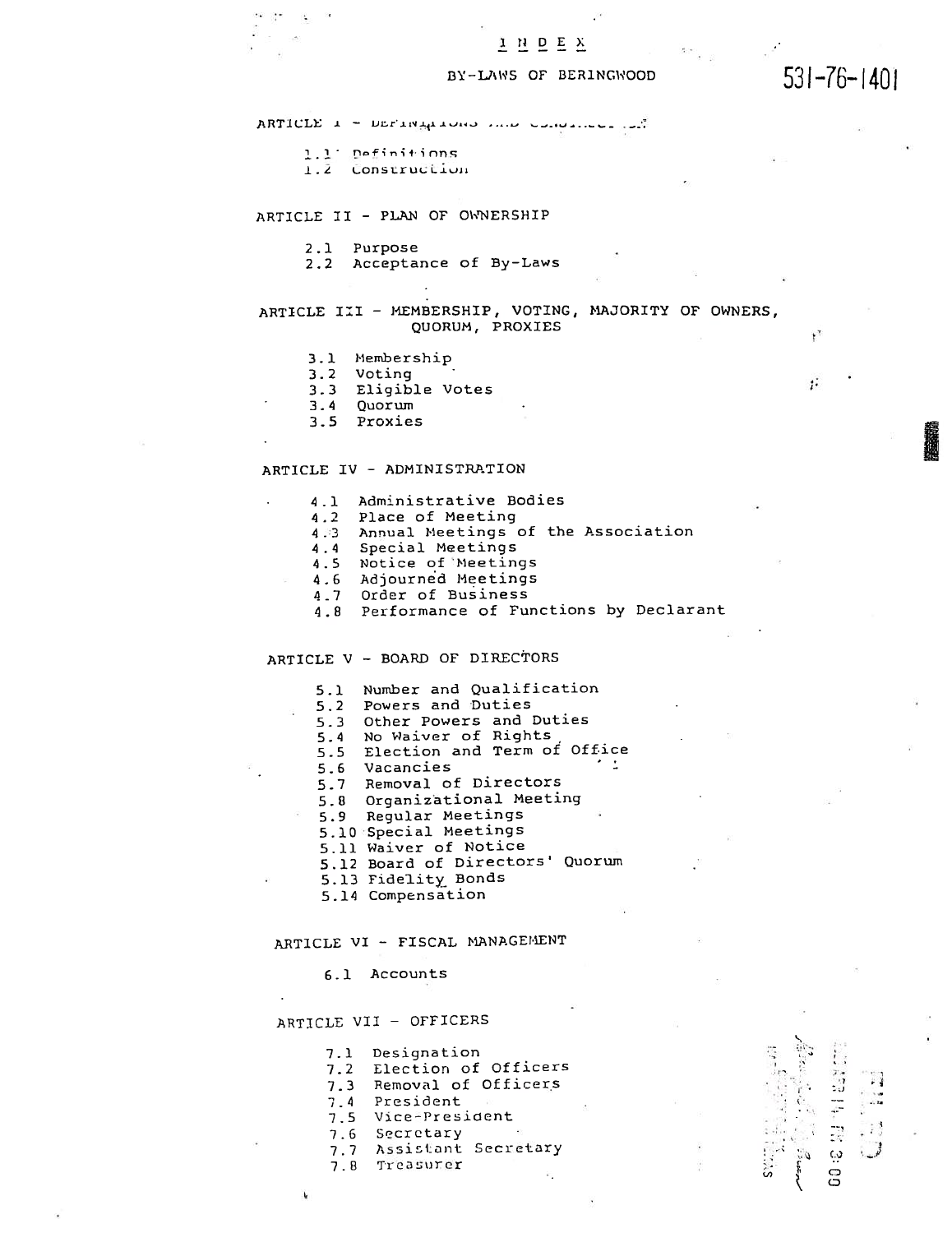## i N D E X

## BY-LAWS OF BERINGWOOD

531—76—1401

 $\mathbf{r}^*$ 

 $\mathbf{r}$ :

—- —I C')  $\overline{a}$ 

÷.)

S.

 $\mathcal{F}$  .

## $ARTICLE$  I = DEFINIQUADED THE CONSTRUCTION

## 1.1. Definitions

1.2 Construction

## ARTICLE II - PLAN OF OWNERSHIP

## 2.1 Purpose

 $\sim$ 

2.2 Acceptance of By—Laws

#### ARTICLE III - MEMBERSHIP, VOTING, MAJORITY OF OWNERS, QUORUM, PROXIES

- 3.1 Membership
- 3.2 Voting
- 3.3 Eligible Votes
- 3.4 Quorum
- 1.5 Proxies

### ARTICLE IV - ADMINISTRATION

- 4.1 42 Administrative Bodies
	- Place of Meeting
- 4.∡<br>43 Annual Meetings of the Association
- $4.4$ Special Meetings
- $4.5$ Notice of Meetings
- 4.6 Adjourned Meetings
- 4.7 Order of Business
- 4.8 Performance of Functions by Declarant

### ARTICLE <sup>V</sup> - BOARD OF DIRECTORS

Number and Qualification 5.1

- Powers and Duties  $5.2$
- Other Powers and Duties 5-3
- s.s Other Fowers and Da<br>5.4 No Waiver of Rights
- 5.4 NO Walvel Of Aights<br>5.5 Election and Term of Office
- 5.6 Vacancies
- 5.7 Removal of Directors
- s.7 Removal of Birdecore<br>5.8 Organizational Meeting
- 5.9 Regular Meetings
- 5.10 Special Meetings
- 5.11 Waiver of Notice
- 5.12 Board of Directors' Quorum
- 5.13 Fidelity Bonds
- 5.14 Compensation

#### ARTICLE VI - FISCAL MANAGEMENT

#### 6.1 Accounts

## ARTICLE VII - OFFICERS

- 7.1 Designation
- 7.2 Election of Officers
- 7.3 Removal of Officers
- 7.4 President
- 7.4 President<br>7.5 Vice-Preside<mark>nt</mark>
- 7.6 Secretary
- 7.8 Secretary<br>7.7 Assistant Secretary
- 7. <sup>8</sup> Treasurer
-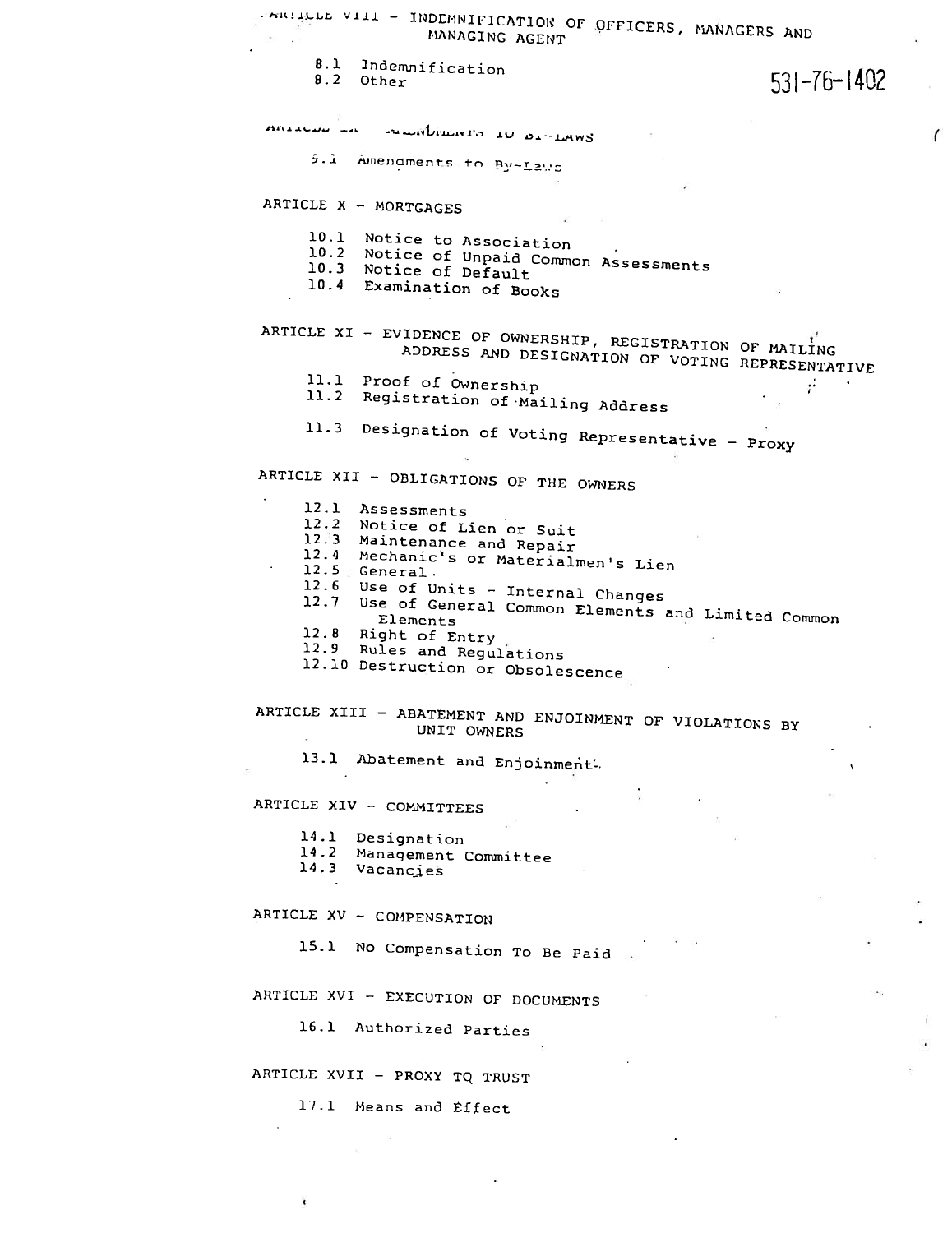. ARTIFIED ATTI - INDEWNILICATION OF OFFICERS, WANAGERS AND FUNNAGING AGENT 8.1 Indemnification  $531 - 76 - 1402$  $8.2$  Other ARLICATO - ALAMPRATO IO DI-LAWS 9.1 Amendments to By-Laws ARTICLE X - MORTGAGES 10.1 Notice to Association 10.2 Notice of Unpaid Common Assessments 10.3 Notice of Default 10.4 Examination of Books ARTICLE XI - EVIDENCE OF OWNERSHIP, REGISTRATION OF MAILING ADDRESS AND DESIGNATION OF VOTING REPRESENTATIVE 11.1 Proof of Ownership  $\mathcal{G}^{(1)}$ 11.2 Registration of Mailing Address 11.3 Designation of Voting Representative - Proxy ARTICLE XII - OBLIGATIONS OF THE OWNERS 12.1 Assessments 12.2 Notice of Lien or Suit 12.3 Maintenance and Repair 12.4 Mechanic's or Materialmen's Lien  $12.5$  General. 12.6 Use of Units - Internal Changes 12.7 Use of General Common Elements and Limited Common Elements 12.8 Right of Entry<br>12.9 Rules and Regulations 12.10 Destruction or Obsolescence ARTICLE XIII - ABATEMENT AND ENJOINMENT OF VIOLATIONS BY UNIT OWNERS 13.1 Abatement and Enjoinment. ARTICLE XIV - COMMITTEES 14.1 Designation 14.2 Management Committee 14.3 Vacancies ARTICLE XV - COMPENSATION 15.1 No Compensation To Be Paid ARTICLE XVI - EXECUTION OF DOCUMENTS 16.1 Authorized Parties ARTICLE XVII - PROXY TQ TRUST 17.1 Means and Effect

 $\sqrt{ }$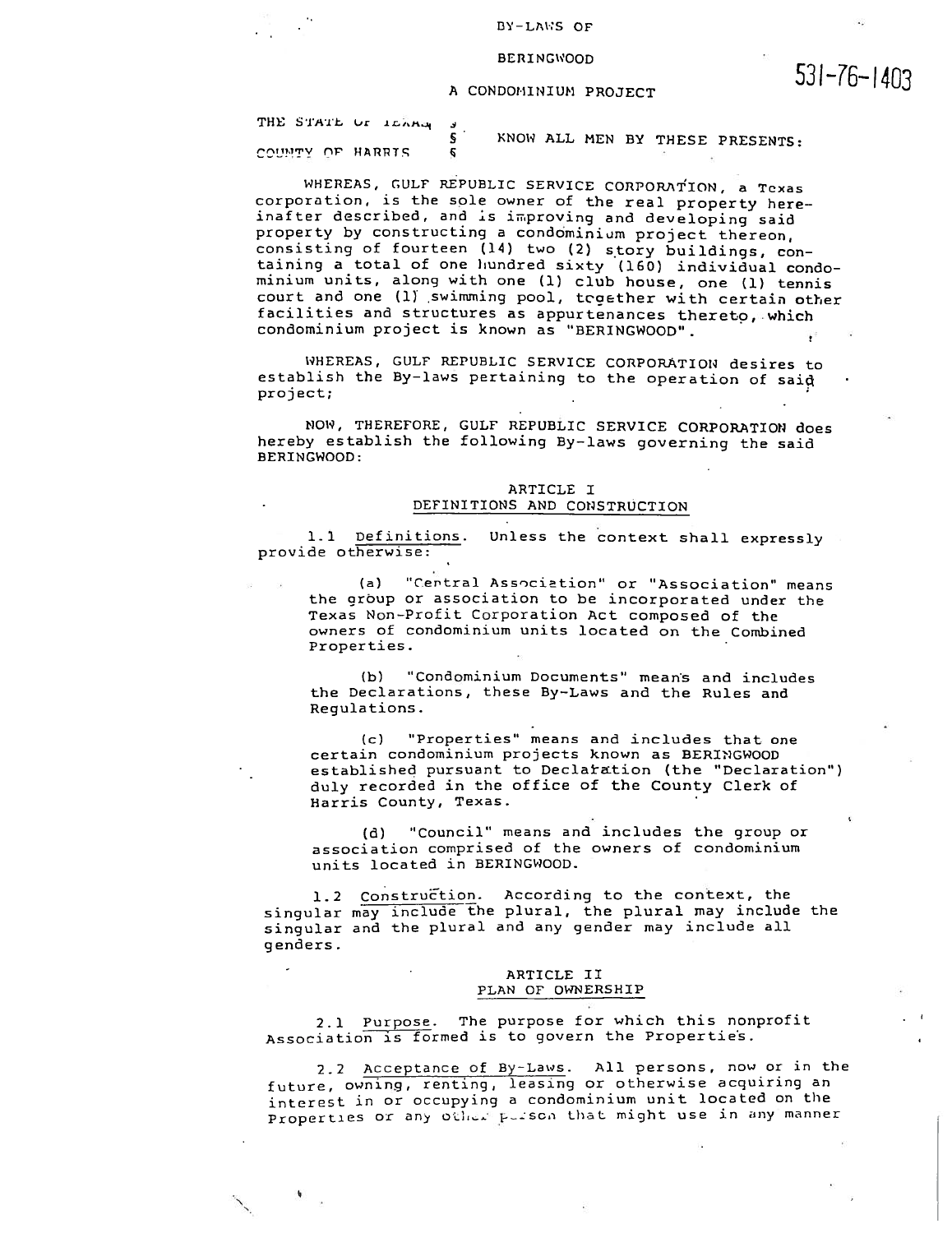## BERINGWOOD

# A CONDOMINIUM PROJECT 531-76-1403

E FIATE OF ISARA 3 COUNTY OF HARRIS

 $\frac{5}{5}$  KNOW ALL MEN BY THESE PRESENTS:

WHEREAS, GULF REPUBLIC SERVICE CORPORATION, a Texas corporation, is the sole owner of the real property hereinafter described, and is improving and developing said property by constructing <sup>a</sup> condominium project thereon, consisting of fourteen (14) two (2) story buildings, con taining <sup>a</sup> total of one hundred sixty (160) individual condo minium units, along with one (1) club house, one (1) tennis court and one (1) swimming pooi, tcoether with certain other facilities and structures as appurtenances thereto, which condominium project is known as "BERINGWOOD".

WHEREAS, GULF REPUBLIC SERVICE CORPORATION desires to establish the By-laws pertaining to the operation of said project; .

NOW, THEREFORE, GULF REPUBLIC SERVICE CORPORATION does hereby establish the following By—laws governing the said BERINGWOOD:

#### ARTICLE I DEFINITIONS AND CONSTRUCTION

1.1 Definitions. Unless the context shall expressly provide otherwise:

(a) "Central Association" or "Association" means the group or association to be incorporated under the Texas Non—Profit Corporation Act composed of the owners of condominium units located on the Combined Properties.

(b) "Condominium Documents" means and includes the Declarations, these By—Laws and the Rules and Regulations.

(c) "Properties" means and includes that one certain condominium projects known as BERINGW000 established pursuant to Declaration (the "Declaration") duly recorded in the office of the County Clerk of Harris County, Texas.

Cd) "Council" means and includes the group or association comprised of the owners of condominium units located in BERINGWOOD.

1.2 Construction. According to the context, the singular may include the <sup>p</sup>lural, the <sup>p</sup>lural may include the singular and the <sup>p</sup>lural and any gender may include all genders.

#### ARTICLE II PLAN OF OWNERSHIP

2.1 Purpose. The purpose for which this nonprofit Association is formed is to govern the Properties.

2.2 Acceptance of By-Laws. All persons, now or in the future, owning, renting, leasing or otherwise acquiring an interest in or occupying <sup>a</sup> condominium unit located on the Properties or any other person that might use in any manner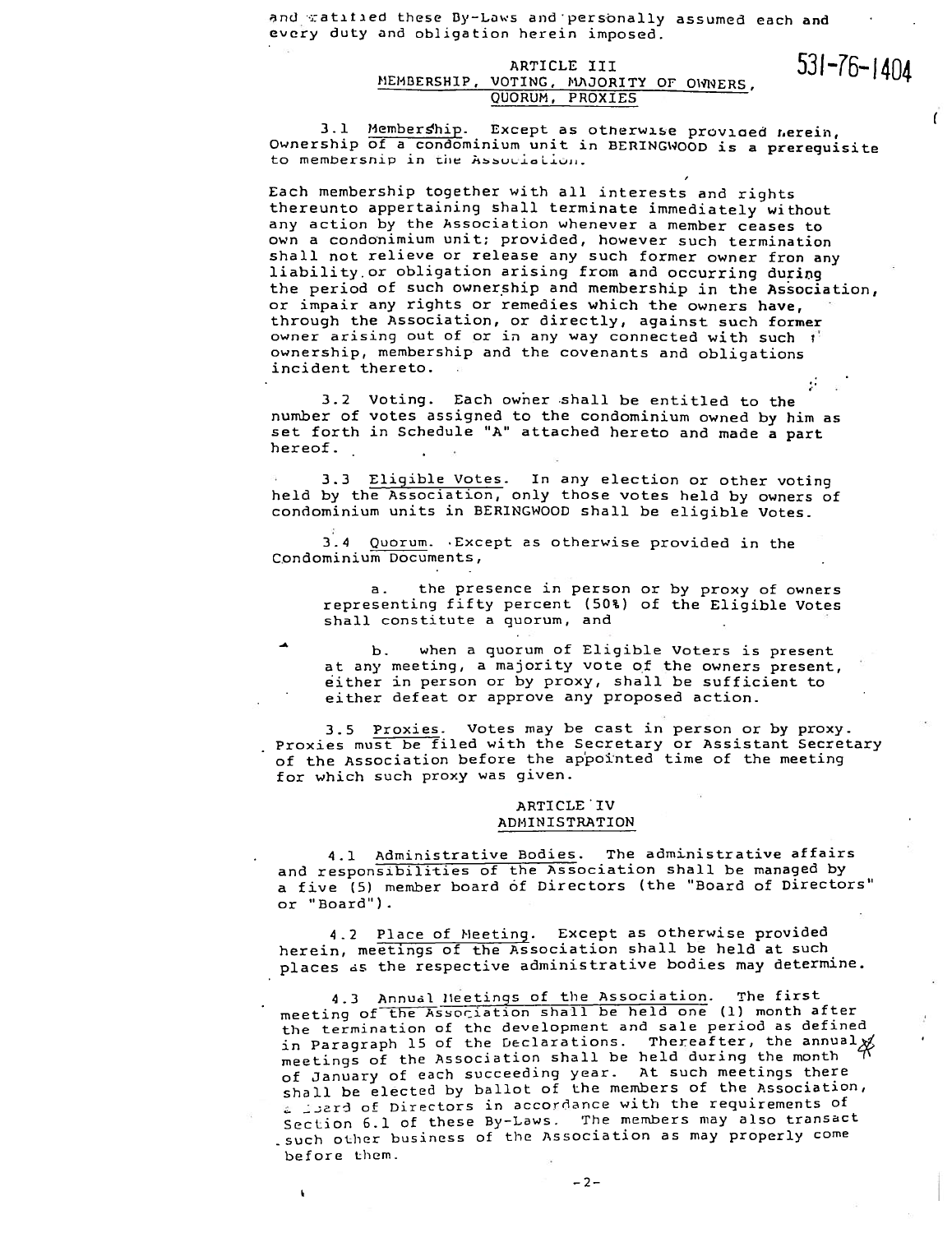and watified these By-Laws and personally assumed each and every duty and obligation herein imposed.

## ARTICLE III 531-76-1404 MEMBERSHIP, VOTING, MAJORITY OF OWNERS, QUORUM, PROXIES

3.1 Membership. Except as otherwise provided nerein, Ownership of <sup>a</sup> condominium unit in BERINGWOOD is <sup>a</sup> prerequisite to membersnip in the Association.

 $\overline{C}$ 

Each membership together with all interests and rights thereunto appertaining shall terminate immediately without any action by the Association whenever <sup>a</sup> member ceases to own <sup>a</sup> conddnimium unit; provided, however such termination shall not relieve or release any such former owner fron any liability or obligation arising from and occurring during the period of such ownership and membership in the Association, or impair any rights or remedies which the owners have, of impair any fights of femedies which the owners have,<br>through the Association, or directly, against such former owner arising out of or in any way connected with such <sup>t</sup> ownership, membership and the covenants and obligations incident thereto.

3.2 Voting. Each owner shall be entitled to the number of votes assigned to the condominium owned by him as set forth in Schedule "A" attached hereto and made a part hereof.

• 3.3 Eligible Votes. In any election or other voting held by the Association, only those votes held by owners of condominium units in BERINGWOOD shall be eligible Votes.

3.4 Quorum. .Except as otherwise provided in the Condominium Documents,

a. the presence in person or by proxy of owners representing fifty percent (50%) of the Eligible Votes shall constitute <sup>a</sup> quorum, and

b. when <sup>a</sup> quorum of Eligible Voters is present at any meeting, <sup>a</sup> majority vote of the owners present, either in person or by proxy, shall be sufficient to either defeat or approve any proposed action.

3.5 Proxies. Votes may be cast in person or by proxy. Proxies must be filed with the Secretary or Assistant Secretary of the Association before the appointed time of the meeting for which such proxy was given.

### ARTICLE IV ADMINISTRATION

4.1 Administrative Bodies. The administrative affairs and responsibilities of the Association shall be managed by a five (5) member board of Directors (the "Board of Directors" or "Board").

4.2 Place of Neetin9. Except as otherwise provided herein, meetings of the Association shall be held at such places as the respective administrative bodies may determine.

4.3 Annual Neetings of the Association. The first 4.3 Annual Heetings of the Association. The first<br>meeting of the Association shall be held one (1) month after meeting or the Association shall be held one (1) month after<br>the termination of the development and sale period as defined<br>in Paragraph 15 of the Declarations. Thereafter, the annual meetings of the Association shall be held during the month of January of each succeeding year. At such meetings there shall be elected by ballot of the members of the Association,  $\epsilon$  iserd of Directors in accordance with the requirements of Section 6.1 of these By-Laws. The members may also transact .such other business of the Association as may properly come before them.

 $-2-$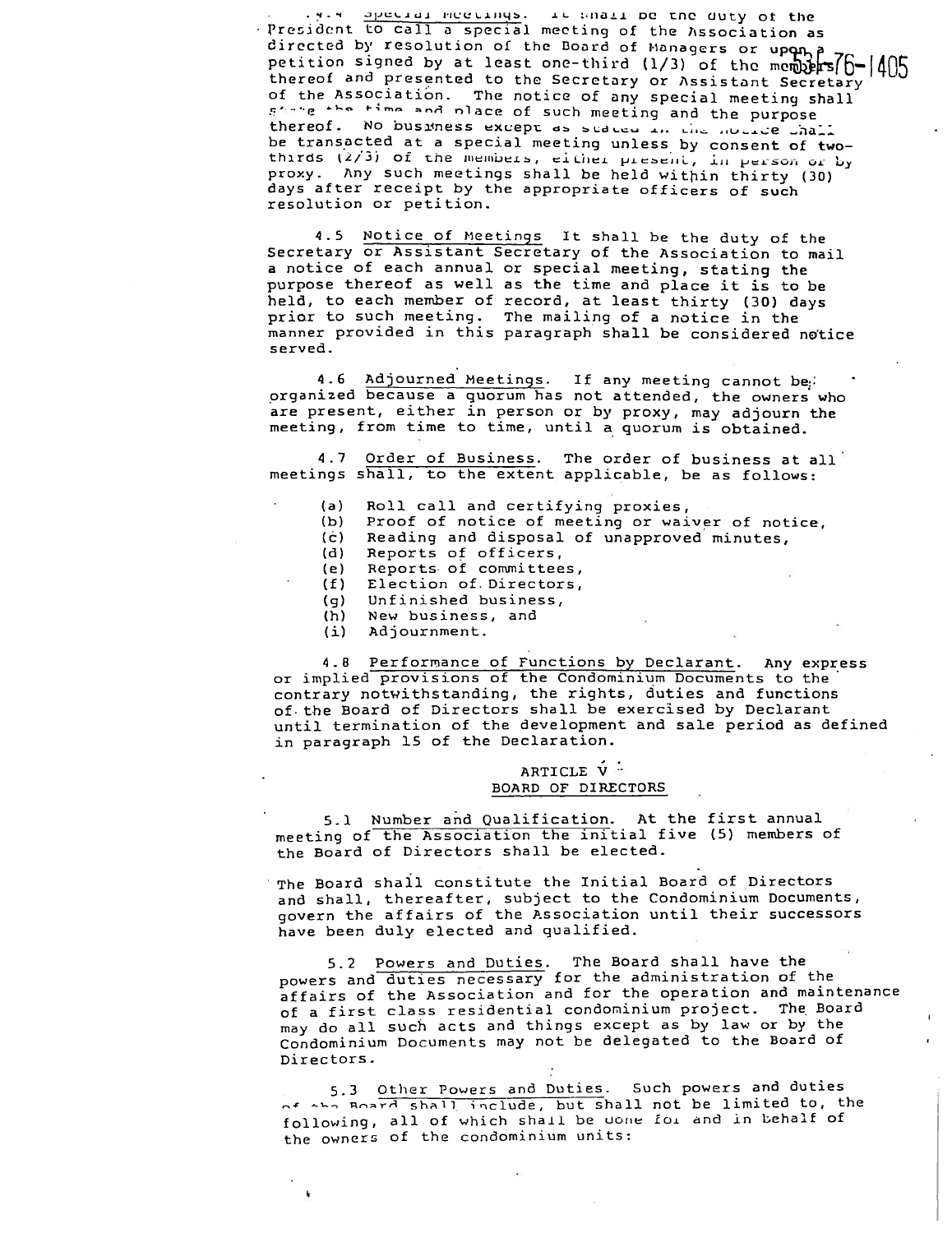• . special nectings. It anall be the duty of the President to call a special meeting of the Association as directed by resolution of the Board of Managers or upon  $P$  76-1405 thereof and presented to the Secretary or Assistant Secretary of the Association. The notice of any special meeting shall nie Association. The hotite of any special meeting shall<br>state the time and place of such meeting and the purpose<br>thereof. No business except as stated at ... ... ... ... ... ... ... thereof. No business except as scated in the nutrie shall<br>be transacted at a special meeting unless by consent of two-<br>thirds (2/3) of the members, either present, in person or by<br>proxy. Any such meetings shall be held wit thirds  $(2/3)$  of the members, either present, in person or by proxy. Any such meetings shall be held within thirty (30) days after receipt by the appropriate officers of such resolution or petition.

4.5 Notice of Meetings It shall be the duty of the Secretary or Assistant Secretary of the Association to mail <sup>a</sup> notice of each annual or special meeting, stating the purpose thereof as well as the time and place it is to be held, to each member of record, at least thirty (30) days prior to such meeting. The mailing of a notice in the manner provided in this paragraph shall be considered notice served.

4.6 Adjourned Meetings. If any meeting cannot be organized because <sup>a</sup> quorum has not attended, the owners who are present, either in person or by proxy, may adjourn the meeting, from time to time, until <sup>a</sup> quorum is obtained.

4.7 Order of Business. The order of business at all meetings shall, to the extent applicable, be as follows:

(a) Roll call and certifying proxies,<br>(b) Proof of notice of meeting or wai

- (b) Proof of notice of meeting or waiver of notice,  $(c)$  Reading and disposal of unapproved minutes,
- (c) Reading and disposal of unapproved minutes,<br>(d) Reports of officers,
- (d) Reports of officers,<br>(e) Reports of committee
- (e) Reports of committees,<br>(f) Election of Directors,
- (f) Election of Directors,<br>(g) Unfinished business,
- (g) Unfinished business,<br>(h) New business, and
- New business, and
- (i) Adjournment.

4.8 Performance of Functions by Declarant. Any express or implied provisions of the Condominium Documents to the contrary notwithstanding, the rights, duties and functions of. the Board of Directors shall be exercised by Declarant until termination of the development and sale period as defined in paragraph 15 of the Declaration.

## ARTICLE  $\bar{V}$ BOARD OF DIRECTORS

5.1 Number and Qualification. At the first annual meeting of the Association the initial five (5) members of the Board of Directors shall be elected.

The Board shall constitute the Initial Board of Directors and shall, thereafter, subject to the Condominium Documents, govern the affairs of the Association until their successors have been duly elected and qualified.

5.2 Powers and Duties. The Board shall have the powers and duties necessary for the administration of the affairs of the Association and for the operation and maintenance of a first class residential condominium project. The Board may do all such acts and things except as by law or by the Condominium Documents may not be delegated to the Board of Directors.

5.3 Other Powers and Duties. Such powers and duties of the Board shall include, but shall not be limited to, the following, all of which shall be uone for and in behalf of the owners of the condominium units: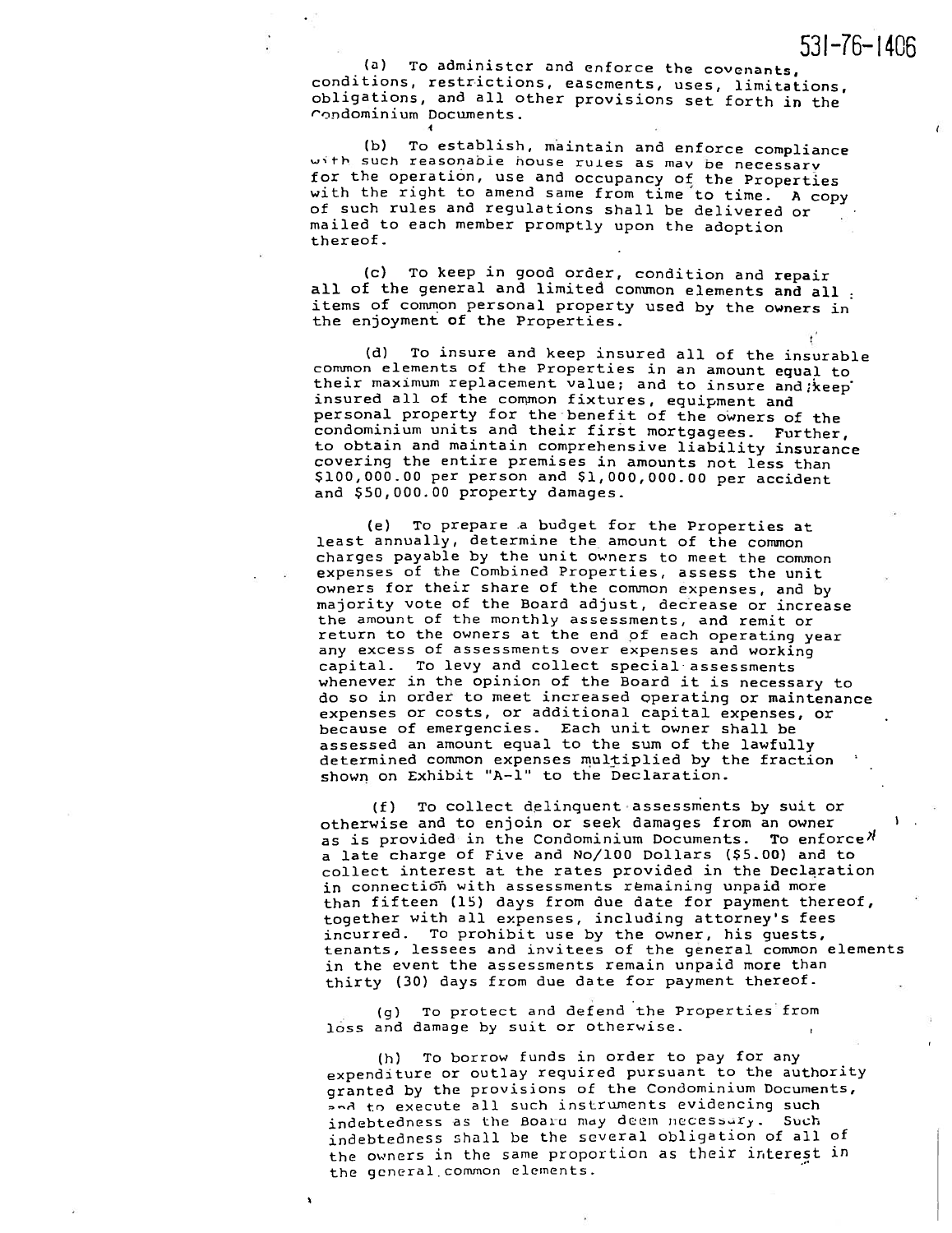(a) To administer and enforce the covenants, conditions, restrictions, easements, uses, conditions, restrictions, easements, uses, limitations<br>obligations, and all other provisions set forth in the  $53$   $-$ <br>
enants,<br>
limitations,<br>
orth in the Condominium Documents.

 $531 - 76 - 1406$ 

(b) To establish, maintain and enforce compliance<br>with such reasonable house rules as may be necessary for the operation, use and occupancy of the Properties with the right to amend same from time to time. A copy of such rules and regulations shall be delivered or mailed to each member promptly upon the adoption thereof.

(c) To keep in good order, condition and repair all of the general and limited common elements and all  $:$ items of common personal property used by the owners in the enjoyment of the Properties.

(d) To insure and keep insured all of the insurable common elements of the Properties in an amount equal to their maximum replacement value; and to insure and *i*keep insured all of the common fixtures, equipment and personal property for the benefit of the owners of the condominium units and their first mortgagees. Further, to obtain and maintain comprehensive liability insurance covering the entire premises in amounts not less than \$100,000.00 per person and \$1,000,000.00 per accident and \$50,000.00 property damages.

Ce) To prepare .a budget for the Properties at least annually, determine the amount of the common charges payable by the unit owners to meet the common expenses of the Combined Properties, assess the unit owners for their share of the common expenses, and by majority vote of the Board adjust, decrease or increase the amount of the monthly assessments, and remit or return to the owners at the end of each operating year any excess of assessments over expenses and working capital. To levy and collect special assessments whenever in the opinion of the Board it is necessary to do so in order to meet increased operating or maintenance expenses or costs, or additional capital expenses, or because of emergencies. Each unit owner shall be assessed an amount equal to the sum of the lawfully determined common expenses multiplied by the fraction shown on Exhibit "A-1" to the Declaration.

(f) To collect delinquent assessments by suit or otherwise and to enjoin or seek damages from an owner as is provided in the Condominium Documents. To enforce  $\lambda$ <sup>a</sup> late charge of Five and No/l00 Dollars (\$5.00) and to collect interest at the rates provided in the Declaration in connection with assessments remaining unpaid more than fifteen (15) days from due date for payment thereof, together with all expenses, including attorney's fees incurred. To prohibit use by the owner, his guests, tenants, lessees and invitees of the general common elements in the event the assessments remain unpaid more than thirty (30) days from due date for payment thereof.

(g) To protect and defend the Properties from loss and damage by suit or otherwise.

(h) To borrow funds in order to pay for any expenditure or outlay required pursuant to the authority granted by the provisions of the Condominium Documents, and to execute all such instruments evidencing such indebtedness as the Board may deem necessary. Such indebtedness shall be the several obligation of all of the owners in the same proportion as their irterest in the general common elements.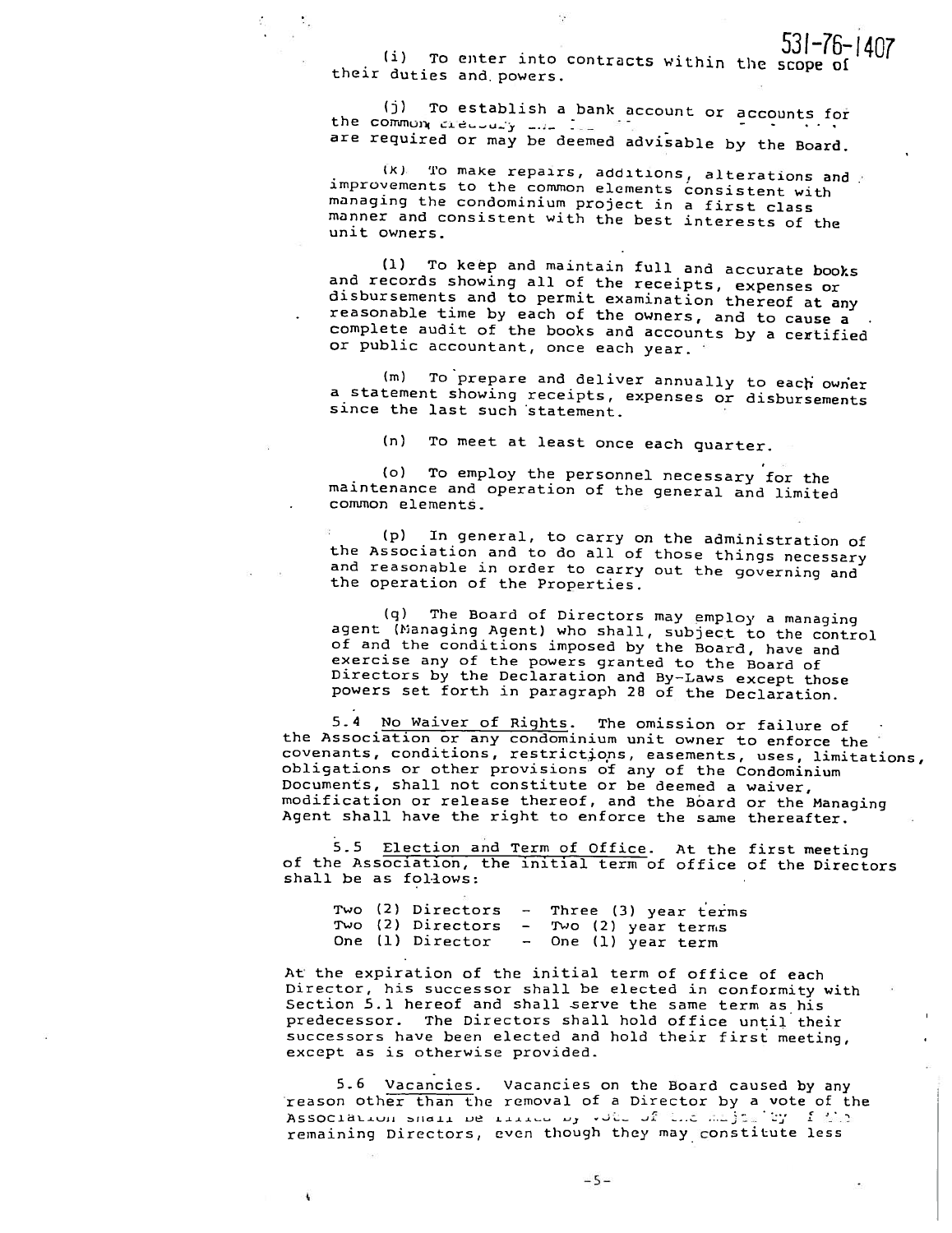(i) To enter into contracts within the scope of<br>their duties and powers.

(j) To establish <sup>a</sup> bank account or accounts for the commn 4 .\_..... :.. . - - are required or may be deemed advisable by the Board.

 $(X)$ . To make repairs, additions, alterations and improvements to the common elements consistent with managing the condominium project in <sup>a</sup> first class manner and consistent with the best interests of the unit owners.

(1) To keep and maintain full and accurate books and records showing all of the receipts, expenses or disbursements and to permit examination thereof at any reasonable time by each of the owners, and to cause <sup>a</sup> complete audit of the books and accounts by <sup>a</sup> certified or public accountant, once each year.

(m) To prepare and deliver annually to each owner <sup>a</sup> statement showing receipts, expenses or disbursements since the last such 'statement.

(n) To meet at least once each quarter.

to) To employ the personnel necessary for the maintenance and operation of the general and limited common elements.

(p) In general, to carry on the administration of the Association and to do all of those things necessary and reasonable in order to carry out the governing and the operation of the Properties.

(q) The Board of Directors may employ a managing<br>agent (Managing Agent) who shall, subject to the control of and the conditions imposed by the Board, have and exercise any of the powers granted to the Board of Directors by the Declaration and By—Laws except those powers set forth in paragraph <sup>28</sup> of the Declaration.

<sup>54</sup> No Waiver of Rights. The omission or failure of the Association or any condominium unit owner to enforce the covenants, conditions, restrictjons, easements, uses, limitations, obligations or other provisions of any of the Condominium Documents, shall not constitute or be deemed <sup>a</sup> waiver, modification or release thereof, and the Board or the Managing Agent shall have the right to enforce the sane thereafter.

5.5 Election and Term of Office. At the first meeting of the Association, the initial term of office of the Directors shall be as follows:

|  |  | Two (2) Directors - Three (3) year terms |
|--|--|------------------------------------------|
|  |  | Two (2) Directors - Two (2) year terms   |
|  |  | One (1) Director - One (1) year term     |

At the expiration of the initial term of office of each Director, his successor shall be elected in conformity with Section 5.1 hereof and shall serve the same term as his predecessor. The Directors shall hold office until their successors have been elected and hold their first meeting, except as is otherwise provided.

<sup>56</sup> Vacancies. Vacancies on the Board caused by any reason other than the removal of a Director by a vote of the Association shaft be tritted by with of the metal of the late remaining Directors, even though they may constitute less

 $-5-$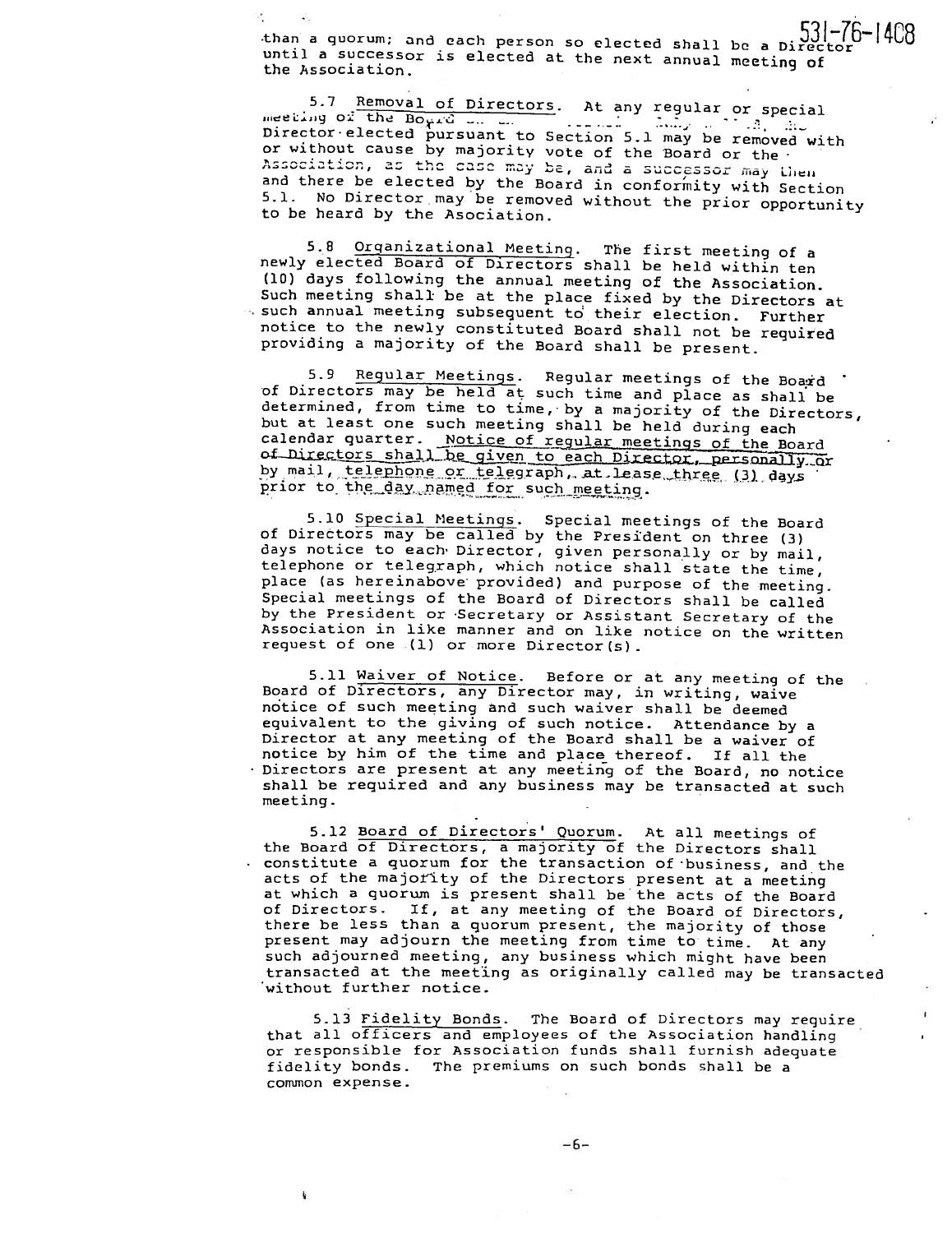\* Than a quorum; and each person so elected shall be a Director  $53$  -  $76$  -  $408$ <br>until a successor is elected at the next annual meeting of<br>the Association.

5.7 Removal of Directors. At any regular or special<br>meeting of the Bourg of the Bondary of Bondary of Bondary Director elected pursuant to Section 5.1 may be removed with or without cause by majority vote of the Board or the -.......<br>Association, as the case may be, and a successor may then<br>and there be elected by the Board in conformity with Section 5.1. No Director may be removed without the prior opportunity to be heard by the Asociation.

5. Orqanizational Meeting. The first meeting of <sup>a</sup> newly elected Board of Directors shall be held within ten (10) days following the annual meeting of the Association. Such meeting shall be at the <sup>p</sup>lace fixed by the Directors at such annual meeting subsequent to their election. Further notice to the newly constituted Board shall not be required providing <sup>a</sup> majority of the Board shall be present.

5.9 Regular Meetings. Regular meetings of the Board of Directors may be held at such time and place as shall be of Directors. The magnetic matrice and place as settermined, from time to time, by a majority of the Directors, but at least one such meeting shall be held during each calendar quarter. Notice of regular meetings of the Board<br>of Directors shall be given to each Director, personally or by mail, telephone or telegraph, at lease three (3) days prior to the day named for such meeting.

5.10 Special Meetings. Special meetings of the Board of Directors may be called by the President on three (3) days notice to each Director, <sup>g</sup>iven personally or by mail, telephone or telegraph, which notice shall state the time, <sup>p</sup>lace (as hereinabove provided) and purpose of the meeting. Special meetings of the Board of Directors shall be called by the President or Secretary or Assistant Secretary of the Association in like manner and on like notice on the written request of one  $(1)$  or more Director(s).

5.11 Waiver of Notice. Before or at any meeting of the Board of Directors, any Director may, in writing, waive notice of such meeting and such waiver shall be deemed equivalent to the <sup>g</sup>iving of such notice. Attendance by <sup>a</sup> Director at any meeting of the Board shall be <sup>a</sup> waiver of notice by him of the time and <sup>p</sup>lace thereof. If all the Directors are present at any meeting of the Board, no notice shall be required and any business may be transacted at such meeting.

5.12 Board of Directors' Quorum. At all meetings of the Board of Directors, <sup>a</sup> majority of the Directors shall constitute a quorum for the transaction of business, and the acts of the majofity of the Directors present at <sup>a</sup> meeting at which <sup>a</sup> quorum is present shall be the acts of the Board of Directors. If, at any meeting of the Board of Directors, there be less than <sup>a</sup> quorum present, the majority of those present may adjourn the meeting from time to time. At any such adjourned meeting, any business which might have been transacted at the meeting as originally called may be transacted without further notice.

5.13 Fidelity Bonds. The Board of Directors may require that all officers and employees of the Association handling or responsible for Association funds shall furnish adequate fidelity bonds. The premiums on such bonds shall be <sup>a</sup> common expense.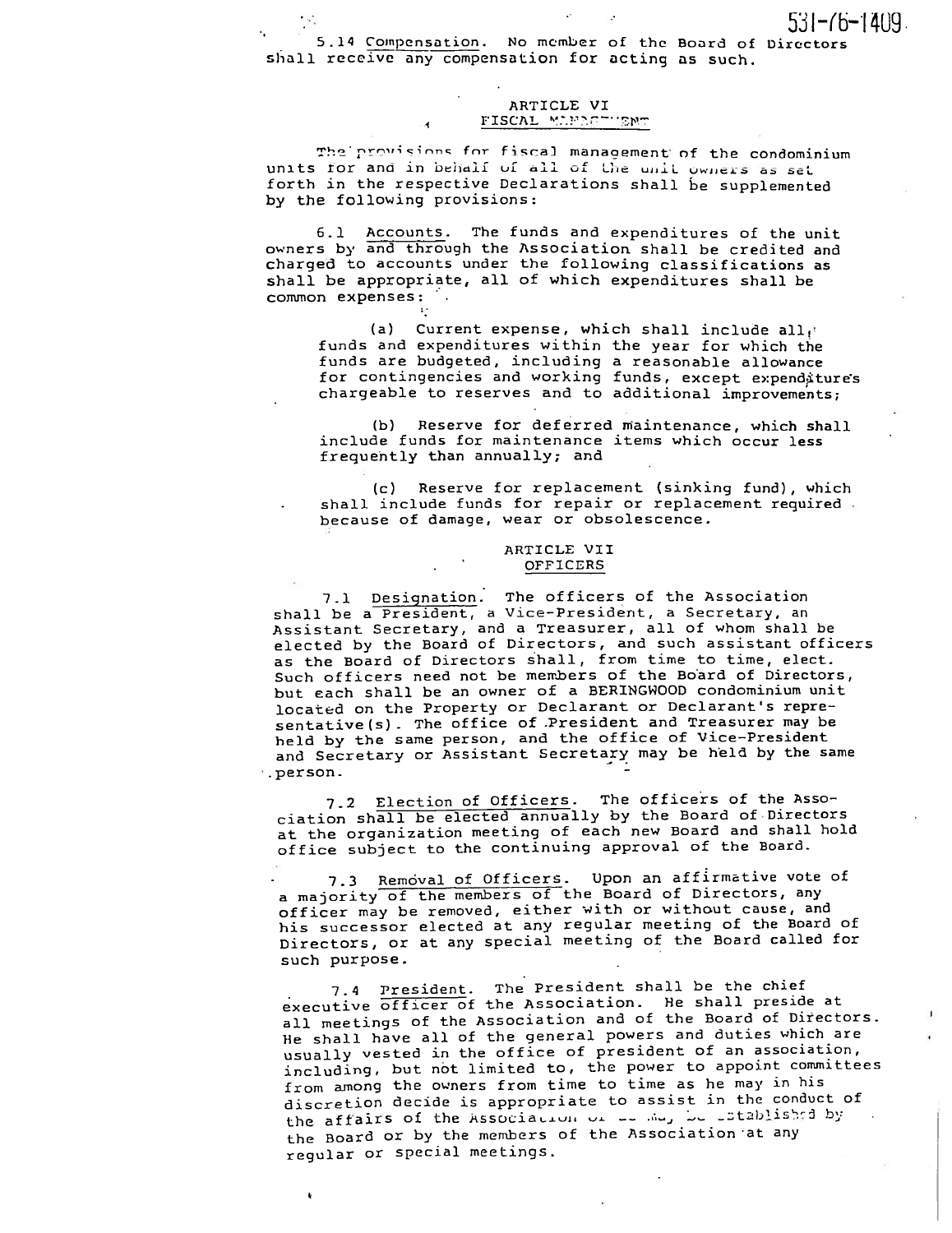$531 - 6 - 1409$ 5.14 Compensation. No member of the Board of Directors shall receive any compensation for acting as such.

### ARTICLE VI FISCAL MAPAGTUENT

The provisions for fiscal management of the condominium units for and in behalf of all of the unit owners as set forth in the respective Declarations shall be supplemented by the following provisions:

6.1 Accounts. The funds and expenditures of the unit owners by and through the Association shall be credited and charged to accounts under the following classifications as shall be appropriate, all of which expenditures shall be common expenses:

(a) Current expense, which shall include all, funds and expenditures within the year for which the funds are budgeted, including a reasonable allowance<br>for contingencies and working funds, except expendatures chargeable to reserves and to additional improvements;

Reserve for deferred maintenance, which shall  $(b)$ include funds for maintenance items which occur less frequently than annually; and

(c) Reserve for replacement (sinking fund), which shall include funds for repair or replacement required because of damage, wear or obsolescence.

## ARTICLE VII OFFICERS

7.1 Designation. The officers of the Association shall be a President, a Vice-President, a Secretary, an Assistant Secretary, and a Treasurer, all of whom shall be elected by the Board of Directors, and such assistant officers as the Board of Directors shall, from time to time, elect. Such officers need not be members of the Board of Directors, but each shall be an owner of a BERINGWOOD condominium unit located on the Property or Declarant or Declarant's representative (s). The office of President and Treasurer may be held by the same person, and the office of Vice-President and Secretary or Assistant Secretary may be held by the same person.

7.2 Election of Officers. The officers of the Association shall be elected annually by the Board of Directors at the organization meeting of each new Board and shall hold office subject to the continuing approval of the Board.

7.3 Removal of Officers. Upon an affirmative vote of a majority of the members of the Board of Directors, any officer may be removed, either with or without cause, and his successor elected at any regular meeting of the Board of Directors, or at any special meeting of the Board called for such purpose.

7.4 President. The President shall be the chief executive officer of the Association. He shall preside at all meetings of the Association and of the Board of Directors. He shall have all of the general powers and duties which are usually vested in the office of president of an association, including, but not limited to, the power to appoint committees from among the owners from time to time as he may in his discretion decide is appropriate to assist in the conduct of the affairs of the Association of the maj be established by the Board or by the members of the Association at any regular or special meetings.

 $\pmb{\mathsf{t}}$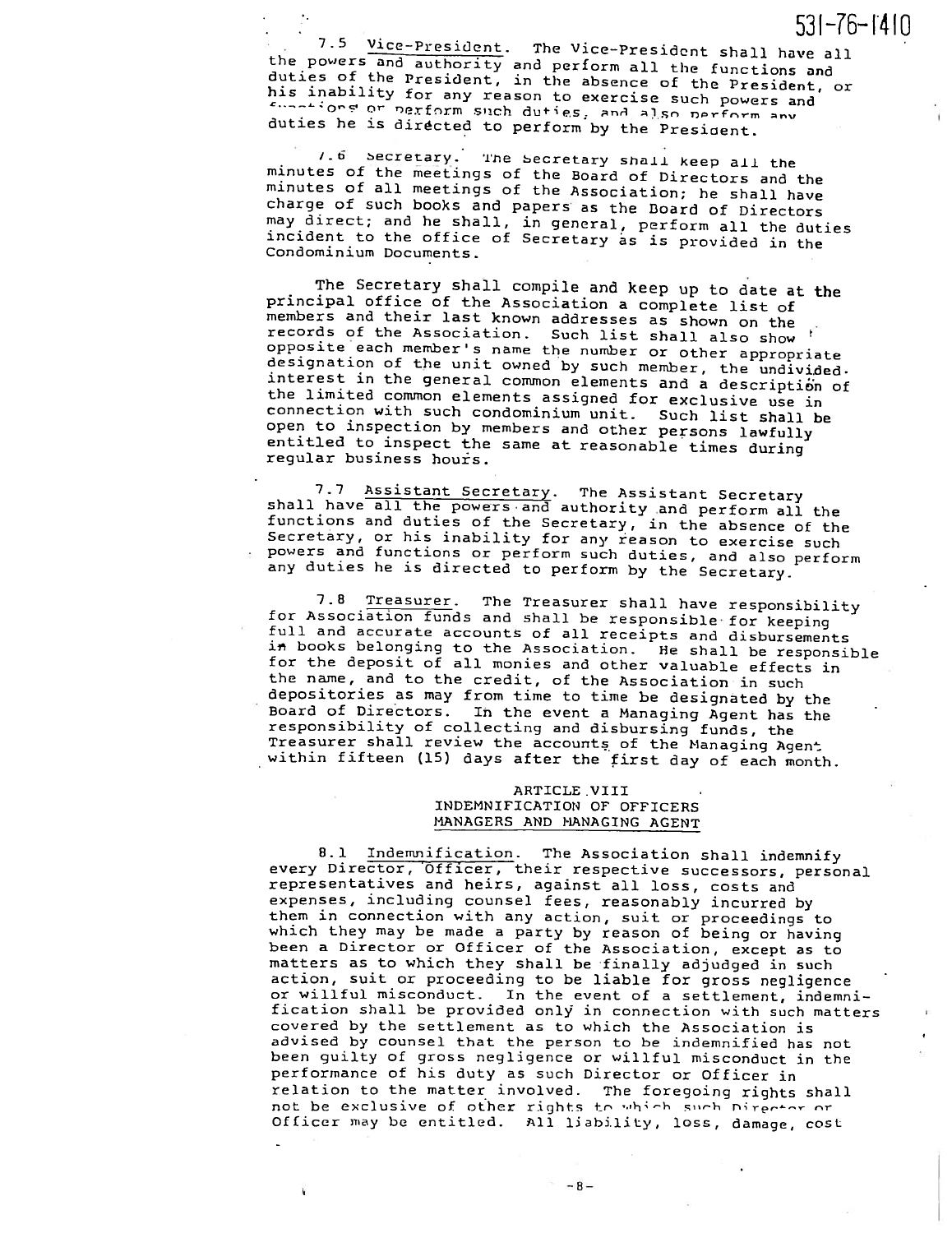531-76-1410<br>7.5 vice-President. The Vice-President shall have all the powers and authority and perform all the functions and<br>duties of the President, in the absence of the President, or his inability for any reason to exercise such powers and<br>functions or perform such duties, and also perform any duties he is directed to perform by the Presioent.

i.6 secretary. 1ne secretary shall keep all the minutes of the meetings of the Board of Directors and the minutes of all meetings of the Association; he shall have charge of such books and papers as the Board of Directors may direct; and he shall, in general, perform all the duties incident to the office of Secretary as is provided in the Condominium Documents.

The Secretary shall compile and keep up to date at the principal office of the Association <sup>a</sup> complete list of members and their last known addresses as shown on the<br>records of the Association. Such list shall also show opposite each member's name the number or other appropriate designation of the unit owned by such member, the undivided. interest in the general common elements and a description of the limited common elements assigned for exclusive use in connection with such condominium unit. Such list shall be open to inspection by members and other persons lawfully entitled to inspect the same at reasonable times during regular business hours.

7.7 Assistant Secretary. The Assistant Secretary shall have all the powers and authority and perform all the functions and duties of the Secretary, in the absence of the Secretary, or his inability for any reason to exercise such powers and functions or perform such duties, and also perform any duties he is directed to perform by the Secretary.

7.8 Treasurer. The Treasurer shall have responsibility for Association funds and shell be responsible- for keeping full and accurate accounts of all receipts and disbursements in books belonging to the Association. He shall be responsible for the deposit of all monies and other valuable effects in the name, and to the credit, of the Association in such depositories as may from time to time be designated by the Board of Directors. In the event <sup>a</sup> Managing Agent has the responsibility of collecting and disbursing funds, the Treasurer shall review the accounts of the Managing Agent within fifteen (15) days after the first day of each month.

> ARTICLE .VIII INDEMNIFICATION OF OFFICERS MANAGERS AND MANAGING AGENT

8.1 Indemnification. The Association shall indemnify every Director, Officer, their respective successors, personal representatives and heirs, against all loss, costs and expenses, including counsel fees, reasonably incurred by them in connection with any action, suit or proceedings to which they may be made <sup>a</sup> party by reason of being or having been <sup>a</sup> Director or Officer of the Association, except as to matters as to which they shall be finally adjudged in such action, suit or proceeding to be liable for gross negligence or willful misconduct. In the event of <sup>a</sup> settlement, indemni fication shall be provided only in connection with such matters covered by the settlement as to which the Association is advised by counsel that the person to be indemnified has not been guilty of gross negligence or willful misconduct in the performance of his duty as such Director or Officer in relation to the matter involved. The foregoing rights shall not be exclusive of other rights to which such Director or Officer may be entitled. All liability, loss, damage, cost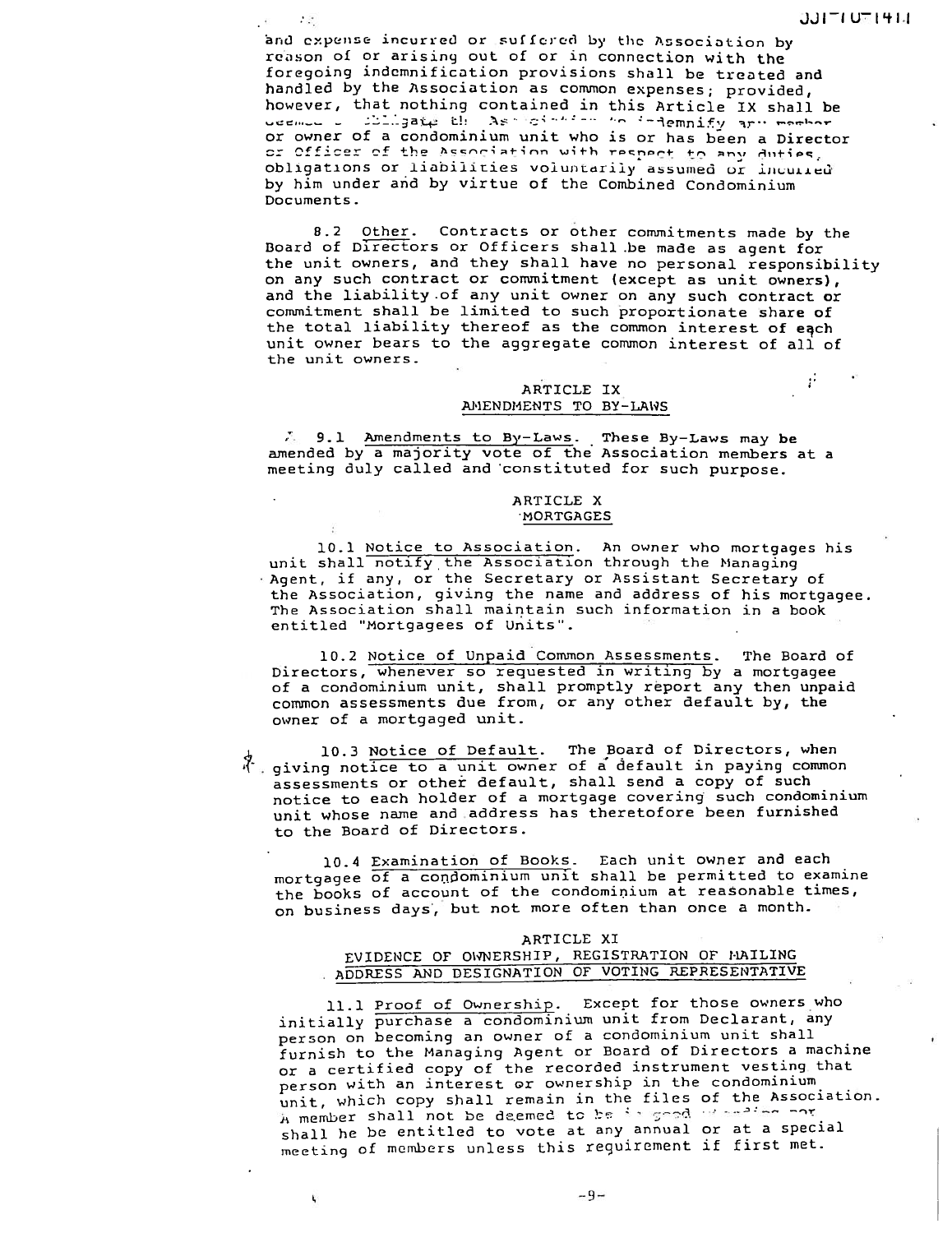and expense incurred or suffered by the Association by reason of or arising out of or in connection with the foregoing indemnification provisions shall be treated and handled by the Association as common expenses; provided, however, that nothing contained in this Article IX shall be ucemon a shallgare the Assessment on indemnity are momber or owner of a condominium unit who is or has been a Director or Officer of the Association with respect to any duties. by him under and by virtue of the Combined Condominium Documents.

 $\sim 10^6$ 

ţ.

8.2 Other. Contracts or other commitments made by the Board of Directors or Officers shall be made as agent for the unit owners, and they shall have no personal responsibility on any such contract or commitment (except as unit owners), and the liability of any unit owner on any such contract or commitment shall be limited to such proportionate share of the total liability thereof as the common interest of each unit owner bears to the aggregate common interest of all of the unit owners.

## ARTICLE IX AMENDMENTS TO BY-LAWS

J. 9.1 Amendments to By-Laws. These By-Laws may be amended by a majority vote of the Association members at a meeting duly called and constituted for such purpose.

#### ARTICLE X MORTGAGES

10.1 Notice to Association. An owner who mortgages his unit shall notify the Association through the Managing Agent, if any, or the Secretary or Assistant Secretary of the Association, giving the name and address of his mortgagee. The Association shall maintain such information in a book entitled "Mortgagees of Units".

10.2 Notice of Unpaid Common Assessments. The Board of Directors, whenever so requested in writing by a mortgagee of a condominium unit, shall promptly report any then unpaid common assessments due from, or any other default by, the owner of a mortgaged unit.

10.3 Notice of Default. The Board of Directors, when A giving notice to a unit owner of a default in paying common assessments or other default, shall send a copy of such notice to each holder of a mortgage covering such condominium unit whose name and address has theretofore been furnished<br>to the Board of Directors.

10.4 Examination of Books. Each unit owner and each mortgagee of a condominium unit shall be permitted to examine the books of account of the condominium at reasonable times, on business days, but not more often than once a month.

## ARTICLE XI EVIDENCE OF OWNERSHIP, REGISTRATION OF MAILING ADDRESS AND DESIGNATION OF VOTING REPRESENTATIVE

11.1 Proof of Ownership. Except for those owners who initially purchase a condominium unit from Declarant, any person on becoming an owner of a condominium unit shall furnish to the Managing Agent or Board of Directors a machine or a certified copy of the recorded instrument vesting that<br>person with an interest or ownership in the condominium unit, which copy shall remain in the files of the Association. A member shall not be deemed to be in good if the note shall he be entitled to vote at any annual or at a special meeting of members unless this requirement if first met.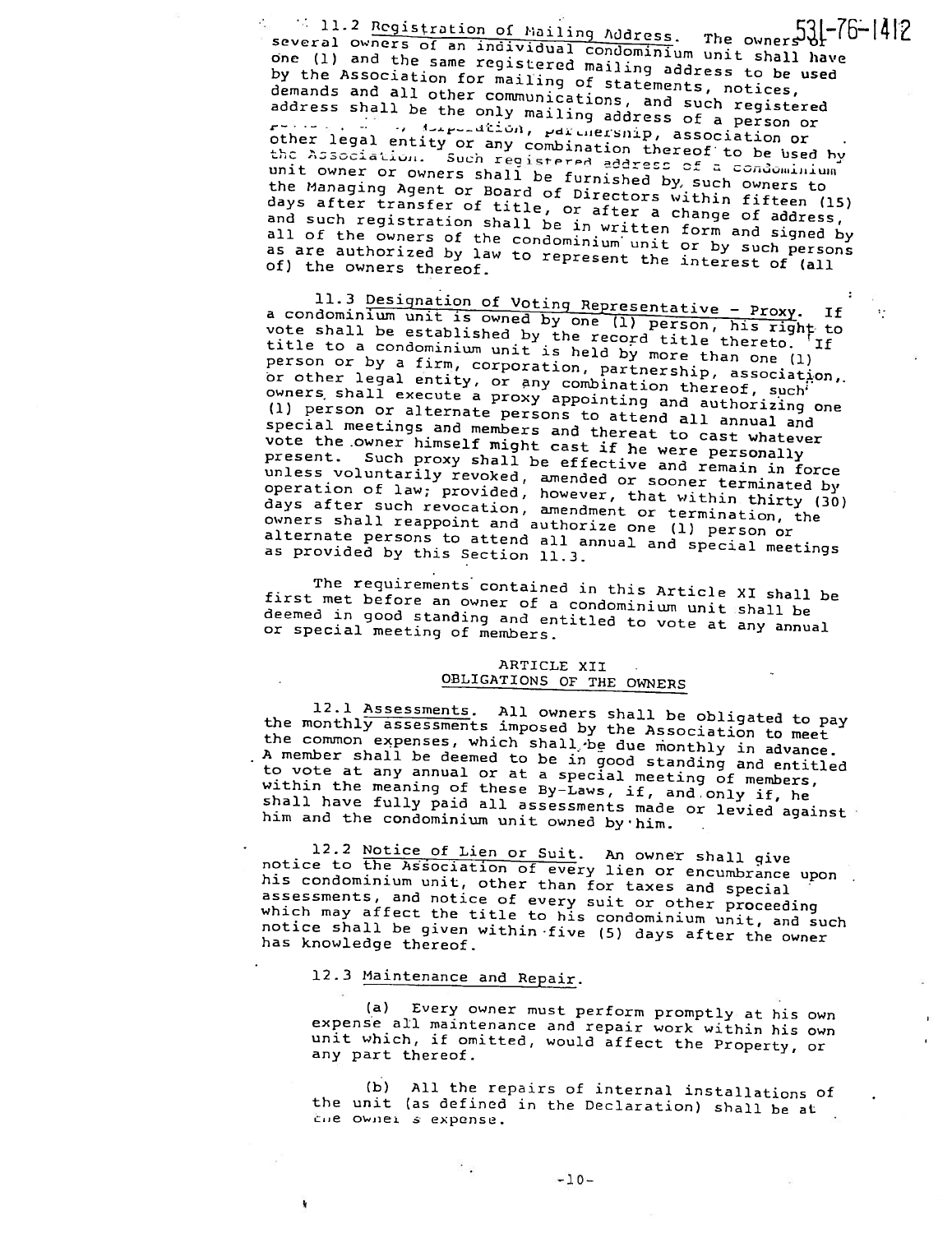11.2 Registration one several (1) same registered mailing address to be used <sup>2</sup> Registration of Mailing Address. The owner531-6-142 and the of an individual condominium unit shall have by the Association demands and by the Association for mailing of statements, notices,<br>demands and all other communications, and such registered<br>address shall be the only mail: address shall be the only mailing address of a person or price is a derived that per unersnip, association or<br>other legal entity or any combination thereofite is oaner regul entity or any<br>the Association. Such re ny combination thereof to be used by<br>reqistered address of 1,000) unit owner or owners shall be furnished by. such owners to the Association. Such registered address of a condominium the Managing Agent or Board of Directors within fifteen (15)<br>days after transfer of title, or after a within fifteen (15) days after transfer of title, or after a change of address, and such registration<br>all of the owners of gistration shall be in written form and signed by all of the owners of the condominium unit or by such persons by law to represent the interest of (all of) the owners thereof.

11.3 Designation of Voting Representative — Proxy. If a condominium unit is owned by one (1) person, his right to vote shall be established by the record title thereto. vote shall be established by the record title thereto. If person or by <sup>a</sup> unit is held by more than one (1) person or by a firm, corporation, partnership, association,<br>or other legal entity, or any combination, association, owners, shall execute <sup>a</sup> proxy appointing and authorizing one legal entity, or any combination thereof, such (1) person or alternate persons to attend all annual and special meetings and members and thereat to cast whatever present. Such proxy shall be effective and remain in force vote the owner himself might cast if he were personally unless voluntarily uniess voluntarily revoked, amended or sooner terminated by<br>operation of law; provided, however, that within thing operation of law; provided, however, that within thirty (30)<br>days after such revocation, amendment or termination, the<br>owners shall reappoint and authorias alternate persons to attend all annual and special meetings owners shall reappoint and authorize one (1) person or as provided by this Section 11.3.

 $\mathcal{V}_1$ 

first met before an owner of a condominium unit shall be The met requirements' contained in this Article XI shall be deemed in good standing and entitled to vote at any annual or special meeting of members.

## ARTICLE XII OBLIGATIONS OF THE OWNERS

the monthly assessments imposed by the Association to meet l2.1 Assessments. All owners shall be obligated to pay<br>onthly assessments imposed by the 1 the common expenses, which shall.be due monthly in advance. <sup>A</sup> member shall be deemed to be in good standing and entitled within the meaning of these By-Laws, if, and only if, he to vote at any annual or at <sup>a</sup> special meeting of members, shall have fully paid all assessments made or levied against him and the condominium unit owned by him.

12.2 Notice of Lien or Suit. An owner shall give notice to the Association of every lien or encumbrance upon his condominium unit, other than for taxes and special which may affect the title to his condominium unit, and such assessments, and notice of every suit or other proceeding notice shall be given within 'five (5) days after the owner has knowledge thereof.

12.3 Maintenance and Repair.

8 g

(a) Every owner must perform promptly at his own expense all maintenance and repair work within his own unit which, if omitted, would affect the Property, or any part thereof.

(b) All the repairs of internal installations of the unit (as defined in the Declaration) shall be at Ene owner s expense.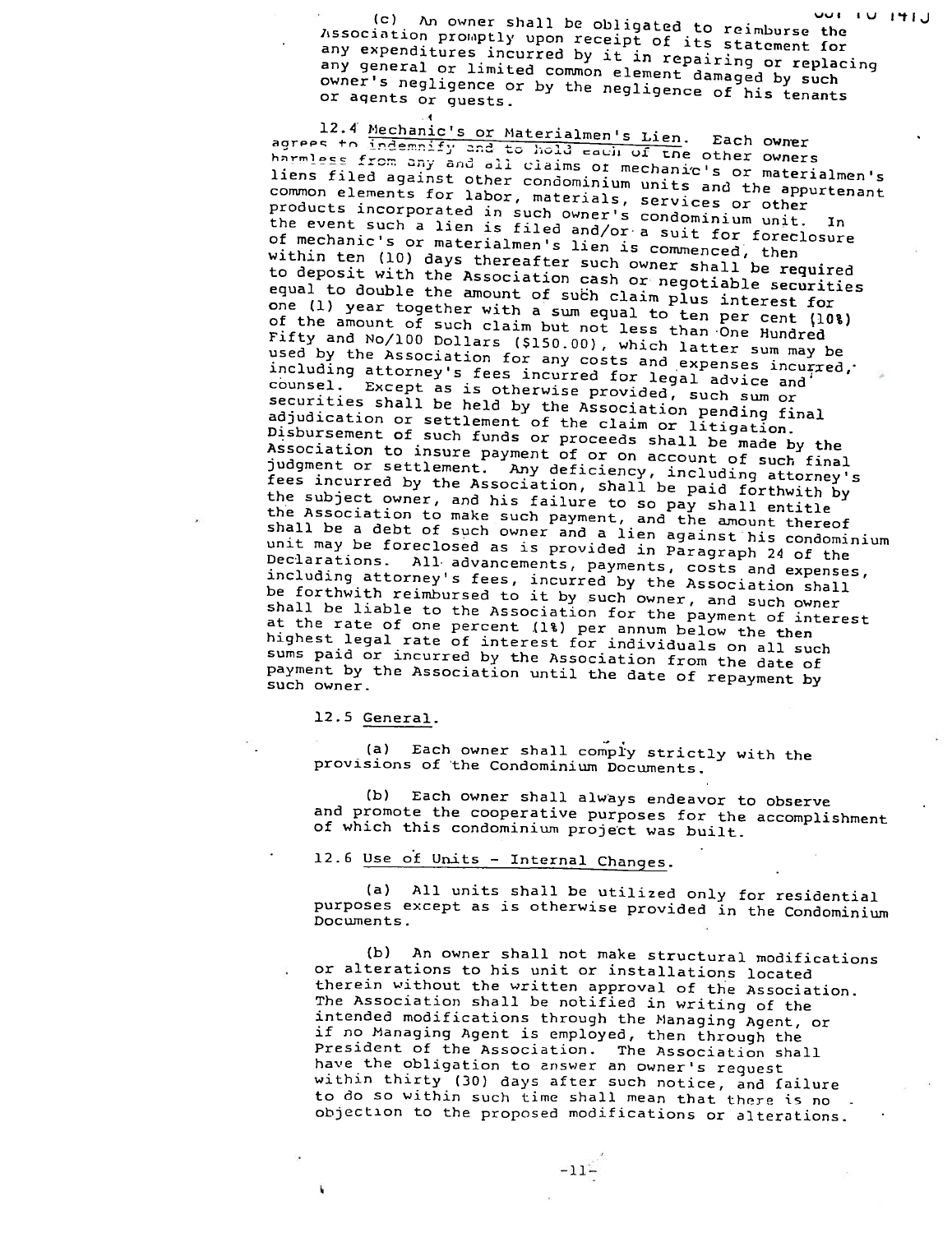UITI UITIU An owner shall be obligated to reimburse the  $(c)$ Association promptly upon receipt of its statement for any expenditures incurred by it in repairing or replacing any general or limited common element damaged by such owner's negligence or by the negligence of his tenants or agents or guests.

12.4 Mechanic's or Materialmen's Lien. Each owner agrees to indemnify and to hold each of the other owners harmless from any and all claims of mechanic's or materialmen's liens filed against other condominium units and the appurtenant<br>common elements for labor, materials, services or other products incorporated in such owner's condominium unit. the event such a lien is filed and/or a suit for foreclosure of mechanic's or materialmen's lien is commenced, then within ten (10) days thereafter such owner shall be required to deposit with the Association cash or negotiable securities equal to double the amount of such claim plus interest for one (1) year together with a sum equal to ten per cent (10%) of the amount of such claim but not less than One Hundred Fifty and No/100 Dollars (\$150.00), which latter sum may be used by the Association for any costs and expenses incurred, including attorney's fees incurred for legal advice and counsel. Except as is otherwise provided, such sum or securities shall be held by the Association pending final adjudication or settlement of the claim or litigation. Disbursement of such funds or proceeds shall be made by the Association to insure payment of or on account of such final judgment or settlement. Any deficiency, including attorney's fees incurred by the Association, shall be paid forthwith by the subject owner, and his failure to so pay shall entitle the Association to make such payment, and the amount thereof shall be a debt of such owner and a lien against his condominium unit may be foreclosed as is provided in Paragraph 24 of the Declarations. All advancements, payments, costs and expenses, including attorney's fees, incurred by the Association shall be forthwith reimbursed to it by such owner, and such owner shall be liable to the Association for the payment of interest at the rate of one percent (1%) per annum below the then highest legal rate of interest for individuals on all such<br>sums paid or incurred by the Association from the date of payment by the Association until the date of repayment by such owner.

12.5 General.

(a) Each owner shall comply strictly with the provisions of the Condominium Documents.

(b) Each owner shall always endeavor to observe and promote the cooperative purposes for the accomplishment of which this condominium project was built.

## 12.6 Use of Units - Internal Changes.

All units shall be utilized only for residential  $(a)$ purposes except as is otherwise provided in the Condominium Documents.

(b) An owner shall not make structural modifications or alterations to his unit or installations located therein without the written approval of the Association. The Association shall be notified in writing of the intended modifications through the Managing Agent, or if no Managing Agent is employed, then through the President of the Association. The Association shall have the obligation to answer an owner's request within thirty (30) days after such notice, and failure to do so within such time shall mean that there is no objection to the proposed modifications or alterations.

 $-11-$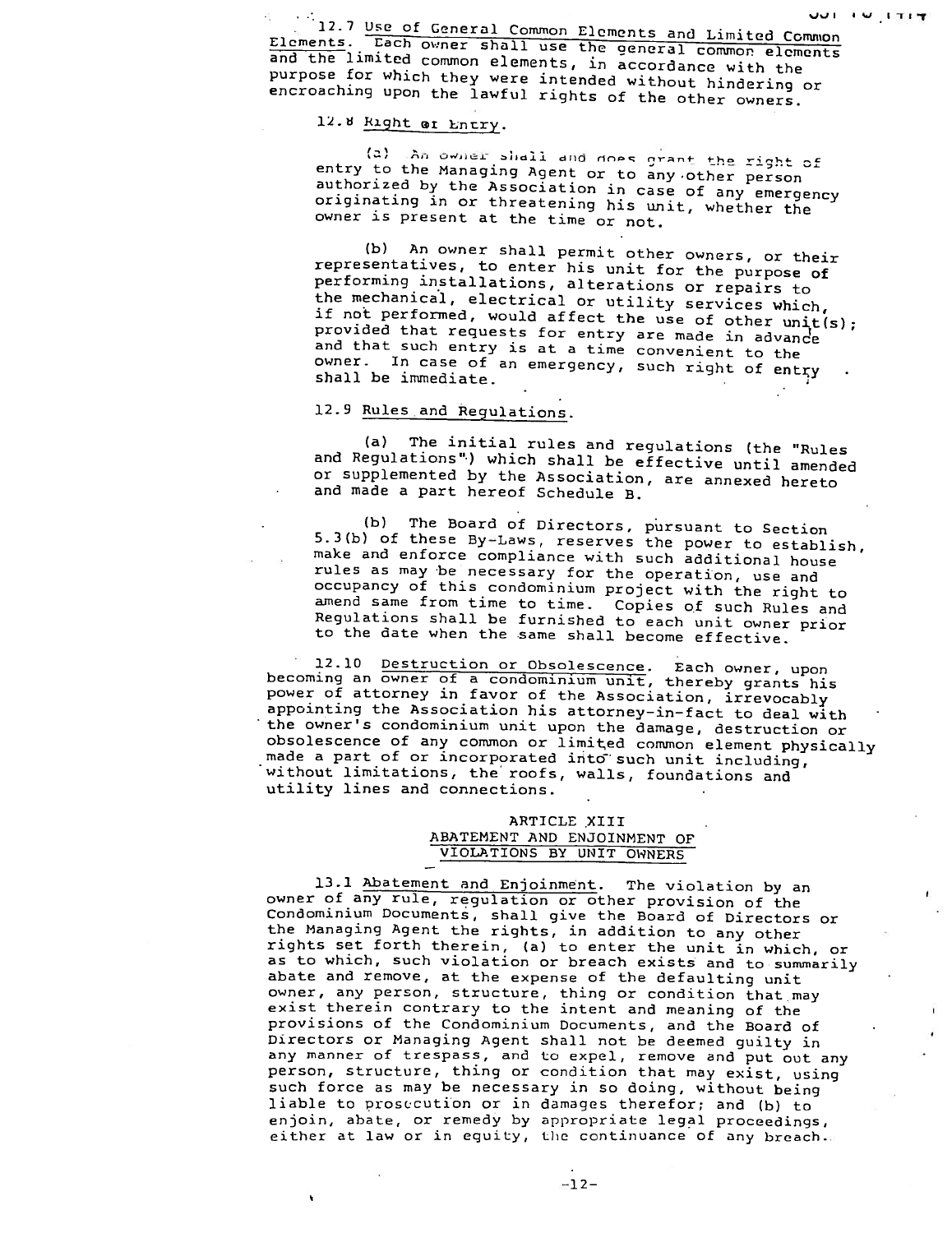Dunner of General Common Elements and Limited Common and Limited Common Elements. 12.7 Use of General Common Elements and Limited Common<br>Elements. Each owner shall use the general common elements<br>and the limited common elements, in accordance with the<br>purpose for which they were intended without hinderi

## 12.8 Right of Entry.

(a) jah owner shall and does grant the right of<br>entry to the Managing Agent or to any other person<br>authorized by the Association in case of any emergency<br>originating in or threatening his unit, whether the owner is present at the time or not.

(b) An owner shall permit other owners, or their<br>representatives, to enter his unit for the purpose of performing installations, alterations or repairs to<br>the mechanical, electrical or utility services which,<br>if not performed, would affect the use of other unit(s); and that such entry is at a time convenient to the that requests for entry are made in advance owner. In case of an emergency, such right of entry shall be immediate.

## 12.9 Rules and Regulations.

(a) The initial rules and regulations (the "Rules and Regulations") which shall be effective until amended or supplemented by the Association, are annexed hereto and made <sup>a</sup> part hereof Schedule B.

(b) The Board of Directors, pursuant to Section 5.3(b) of these By-Laws, reserves the power to establish, make and enforce compliance with such additional house rules as may be necessary for the operation, use and occupanc amend same from time to time. Copies of such Rules and<br>Regulations shall be furnished to each unit owner prior<br>to the date when the same shall become effective.

12.10 Destruction or Obsolescence. Each owner, upon becoming an owner of <sup>a</sup> condominium unit, thereby grants his power of attorney in favor of the Association, irrevocably appointing the Association his attorney—in-fact to deal with the owner's condominium unit upon the damage, destruction or obsolescence of any common or limited common element physically made a part of or incorporated into such unit including, without limitations, the roofs, walls, foundations and utility lines and connections.

### ARTICLE XIII ABATEMENT AND ENJOINMENT OF VIOLATIONS BY UNIT OWNERS

13.1 Abatement and Enjoinmënt. The violation by an owner of any rule, regulation or other provision of the Condominium Documents, shall <sup>g</sup>ive the Board of Directors or the Managing Agent the rights, in addition to any other rights set forth therein, (a) to enter the unit in which, or as to which, such violation or breach exists and to summarily abate and remove, at the expense of the defaulting unit owner, any person, structure, thing or condition that may exist therein contrary to the intent and meaning of the provisions of the Condominium Documents, and the Board of Directors or Managing Agent shall not be deemed guilty in any manner of trespass, and to expel, remove and put out any person, structure, thing or condition that may exist, using such force as may be necessary in so doing, without being liable to prosccution or in damages therefor; and (b) to enjoin, abate, or remedy by appropriate legal proceedings, either at law or in equity, the continuance of any breach..